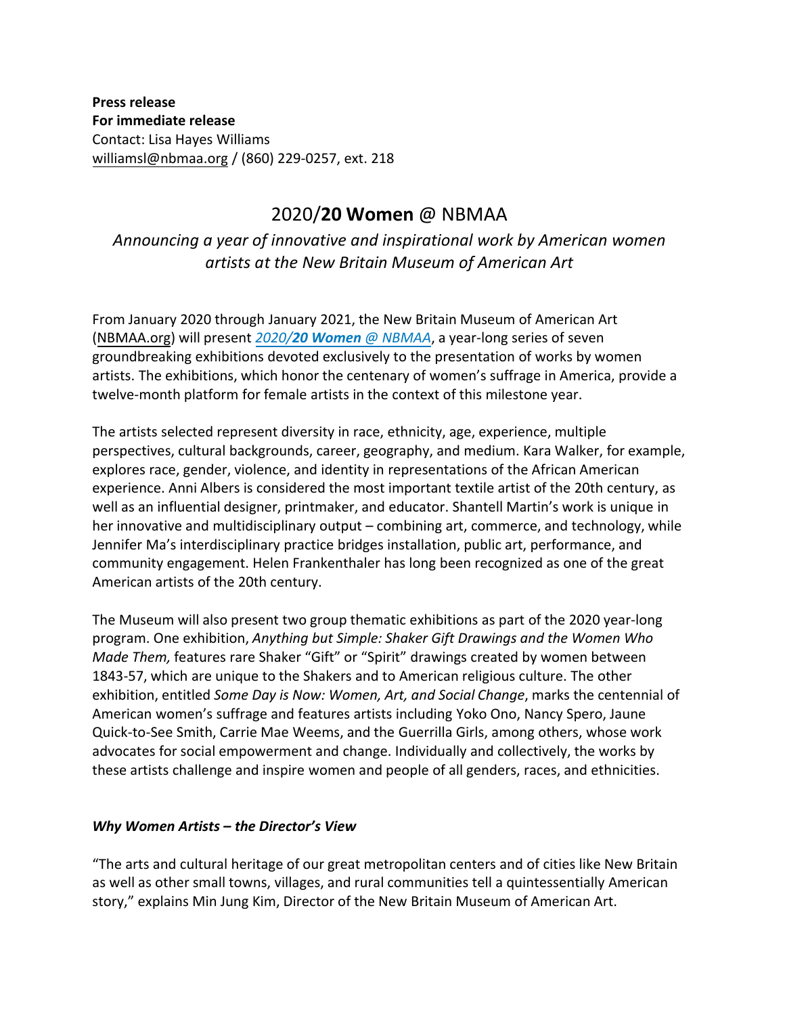**Press release For immediate release**  Contact: Lisa Hayes Williams [williamsl@nbmaa.org](mailto:williamsl@nbmaa.org?subject=Press%20Inquiry:%202020/20%20Women%20@%20NBMAA%20) / (860) 229-0257, ext. 218

## 2020/**20 Women** @ NBMAA

*Announcing a year of innovative and inspirational work by American women artists at the New Britain Museum of American Art* 

From January 2020 through January 2021, the New Britain Museum of American Art [\(NBMAA.org\)](http://www.nbmaa.org/) will present *2020/20 Women [@ NBMAA](http://bit.ly/pr-2020-20-women)*, a year-long series of seven groundbreaking exhibitions devoted exclusively to the presentation of works by women artists. The exhibitions, which honor the centenary of women's suffrage in America, provide a twelve-month platform for female artists in the context of this milestone year.

The artists selected represent diversity in race, ethnicity, age, experience, multiple perspectives, cultural backgrounds, career, geography, and medium. Kara Walker, for example, explores race, gender, violence, and identity in representations of the African American experience. Anni Albers is considered the most important textile artist of the 20th century, as well as an influential designer, printmaker, and educator. Shantell Martin's work is unique in her innovative and multidisciplinary output – combining art, commerce, and technology, while Jennifer Ma's interdisciplinary practice bridges installation, public art, performance, and community engagement. Helen Frankenthaler has long been recognized as one of the great American artists of the 20th century.

The Museum will also present two group thematic exhibitions as part of the 2020 year-long program. One exhibition, *Anything but Simple: Shaker Gift Drawings and the Women Who Made Them,* features rare Shaker "Gift" or "Spirit" drawings created by women between 1843-57, which are unique to the Shakers and to American religious culture. The other exhibition, entitled *Some Day is Now: Women, Art, and Social Change*, marks the centennial of American women's suffrage and features artists including Yoko Ono, Nancy Spero, Jaune Quick-to-See Smith, Carrie Mae Weems, and the Guerrilla Girls, among others, whose work advocates for social empowerment and change. Individually and collectively, the works by these artists challenge and inspire women and people of all genders, races, and ethnicities.

## *Why Women Artists – the Director's View*

"The arts and cultural heritage of our great metropolitan centers and of cities like New Britain as well as other small towns, villages, and rural communities tell a quintessentially American story," explains Min Jung Kim, Director of the New Britain Museum of American Art.